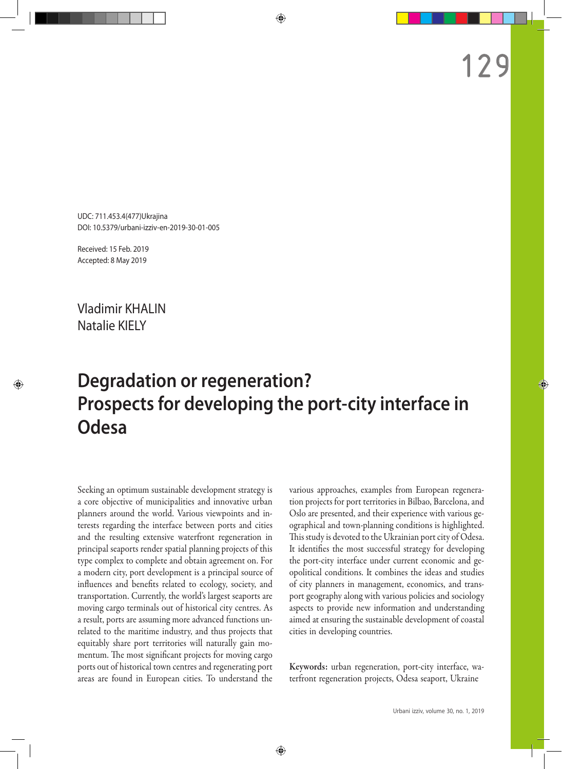UDC: 711.453.4(477)Ukrajina DOI: 10.5379/urbani-izziv-en-2019-30-01-005

Received: 15 Feb. 2019 Accepted: 8 May 2019

Vladimir KHALIN Natalie KIELY

# **Degradation or regeneration? Prospects for developing the port-city interface in Odesa**

Seeking an optimum sustainable development strategy is a core objective of municipalities and innovative urban planners around the world. Various viewpoints and interests regarding the interface between ports and cities and the resulting extensive waterfront regeneration in principal seaports render spatial planning projects of this type complex to complete and obtain agreement on. For a modern city, port development is a principal source of influences and benefits related to ecology, society, and transportation. Currently, the world's largest seaports are moving cargo terminals out of historical city centres. As a result, ports are assuming more advanced functions unrelated to the maritime industry, and thus projects that equitably share port territories will naturally gain momentum. The most significant projects for moving cargo ports out of historical town centres and regenerating port areas are found in European cities. To understand the

various approaches, examples from European regeneration projects for port territories in Bilbao, Barcelona, and Oslo are presented, and their experience with various geographical and town-planning conditions is highlighted. This study is devoted to the Ukrainian port city of Odesa. It identifies the most successful strategy for developing the port-city interface under current economic and geopolitical conditions. It combines the ideas and studies of city planners in management, economics, and transport geography along with various policies and sociology aspects to provide new information and understanding aimed at ensuring the sustainable development of coastal cities in developing countries.

Keywords: urban regeneration, port-city interface, waterfront regeneration projects, Odesa seaport, Ukraine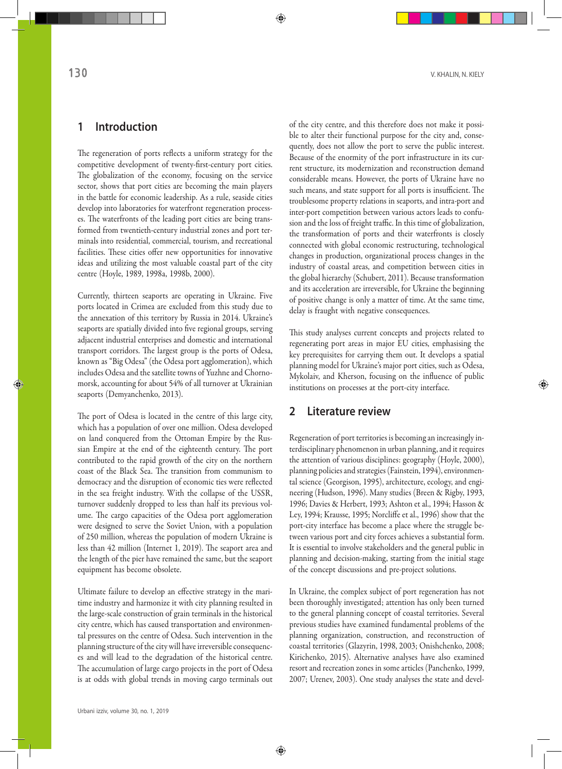## **1 Introduction**

The regeneration of ports reflects a uniform strategy for the competitive development of twenty-first-century port cities. The globalization of the economy, focusing on the service sector, shows that port cities are becoming the main players in the battle for economic leadership. As a rule, seaside cities develop into laboratories for waterfront regeneration processes. The waterfronts of the leading port cities are being transformed from twentieth-century industrial zones and port terminals into residential, commercial, tourism, and recreational facilities. These cities offer new opportunities for innovative ideas and utilizing the most valuable coastal part of the city centre (Hoyle, 1989, 1998a, 1998b, 2000).

Currently, thirteen seaports are operating in Ukraine. Five ports located in Crimea are excluded from this study due to the annexation of this territory by Russia in 2014. Ukraine's seaports are spatially divided into five regional groups, serving adjacent industrial enterprises and domestic and international transport corridors. The largest group is the ports of Odesa, known as "Big Odesa" (the Odesa port agglomeration), which includes Odesa and the satellite towns of Yuzhne and Chornomorsk, accounting for about 54% of all turnover at Ukrainian seaports (Demyanchenko, 2013).

The port of Odesa is located in the centre of this large city, which has a population of over one million. Odesa developed on land conquered from the Ottoman Empire by the Russian Empire at the end of the eighteenth century. The port contributed to the rapid growth of the city on the northern coast of the Black Sea. The transition from communism to democracy and the disruption of economic ties were reflected in the sea freight industry. With the collapse of the USSR, turnover suddenly dropped to less than half its previous volume. The cargo capacities of the Odesa port agglomeration were designed to serve the Soviet Union, with a population of 250 million, whereas the population of modern Ukraine is less than 42 million (Internet 1, 2019). The seaport area and the length of the pier have remained the same, but the seaport equipment has become obsolete.

Ultimate failure to develop an effective strategy in the maritime industry and harmonize it with city planning resulted in the large-scale construction of grain terminals in the historical city centre, which has caused transportation and environmental pressures on the centre of Odesa. Such intervention in the planning structure of the city will have irreversible consequences and will lead to the degradation of the historical centre. The accumulation of large cargo projects in the port of Odesa is at odds with global trends in moving cargo terminals out of the city centre, and this therefore does not make it possible to alter their functional purpose for the city and, consequently, does not allow the port to serve the public interest. Because of the enormity of the port infrastructure in its current structure, its modernization and reconstruction demand considerable means. However, the ports of Ukraine have no such means, and state support for all ports is insufficient. The troublesome property relations in seaports, and intra-port and inter-port competition between various actors leads to confusion and the loss of freight traffic. In this time of globalization, the transformation of ports and their waterfronts is closely connected with global economic restructuring, technological changes in production, organizational process changes in the industry of coastal areas, and competition between cities in the global hierarchy (Schubert, 2011). Because transformation and its acceleration are irreversible, for Ukraine the beginning of positive change is only a matter of time. At the same time, delay is fraught with negative consequences.

This study analyses current concepts and projects related to regenerating port areas in major EU cities, emphasising the key prerequisites for carrying them out. It develops a spatial planning model for Ukraine's major port cities, such as Odesa, Mykolaiv, and Kherson, focusing on the influence of public institutions on processes at the port-city interface.

## **2 Literature review**

Regeneration of port territories is becoming an increasingly interdisciplinary phenomenon in urban planning, and it requires the attention of various disciplines: geography (Hoyle, 2000), planning policies and strategies (Fainstein, 1994), environmental science (Georgison, 1995), architecture, ecology, and engineering (Hudson, 1996). Many studies (Breen & Rigby, 1993, 1996; Davies & Herbert, 1993; Ashton et al., 1994; Hasson & Ley, 1994; Krausse, 1995; Norcliffe et al., 1996) show that the port-city interface has become a place where the struggle between various port and city forces achieves a substantial form. It is essential to involve stakeholders and the general public in planning and decision-making, starting from the initial stage of the concept discussions and pre-project solutions.

In Ukraine, the complex subject of port regeneration has not been thoroughly investigated; attention has only been turned to the general planning concept of coastal territories. Several previous studies have examined fundamental problems of the planning organization, construction, and reconstruction of coastal territories (Glazyrin, 1998, 2003; Onishchenko, 2008; Kirichenko, 2015). Alternative analyses have also examined resort and recreation zones in some articles (Panchenko, 1999, 2007; Urenev, 2003). One study analyses the state and devel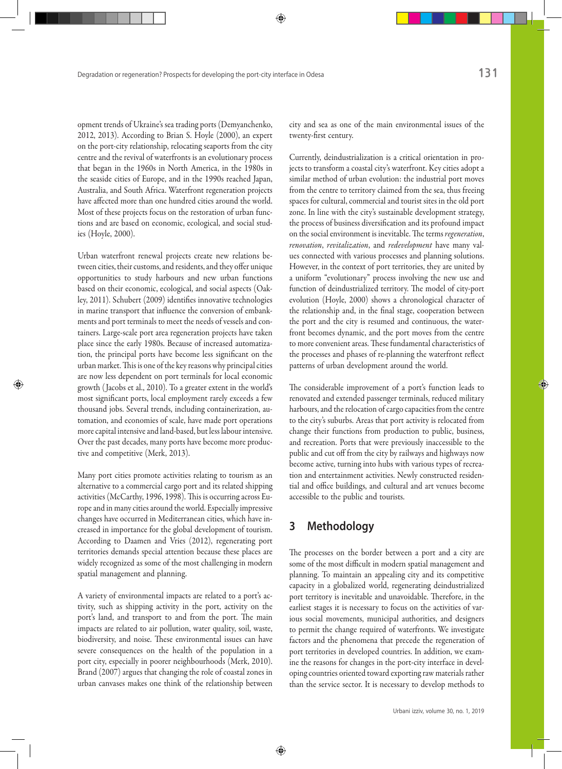opment trends of Ukraine's sea trading ports (Demyanchenko, 2012, 2013). According to Brian S. Hoyle (2000), an expert on the port-city relationship, relocating seaports from the city centre and the revival of waterfronts is an evolutionary process that began in the 1960s in North America, in the 1980s in the seaside cities of Europe, and in the 1990s reached Japan, Australia, and South Africa. Waterfront regeneration projects have affected more than one hundred cities around the world. Most of these projects focus on the restoration of urban functions and are based on economic, ecological, and social studies (Hoyle, 2000).

Urban waterfront renewal projects create new relations between cities, their customs, and residents, and they offer unique opportunities to study harbours and new urban functions based on their economic, ecological, and social aspects (Oakley, 2011). Schubert (2009) identifies innovative technologies in marine transport that influence the conversion of embankments and port terminals to meet the needs of vessels and containers. Large-scale port area regeneration projects have taken place since the early 1980s. Because of increased automatization, the principal ports have become less significant on the urban market. This is one of the key reasons why principal cities are now less dependent on port terminals for local economic growth ( Jacobs et al., 2010). To a greater extent in the world's most significant ports, local employment rarely exceeds a few thousand jobs. Several trends, including containerization, automation, and economies of scale, have made port operations more capital intensive and land-based, but less labour intensive. Over the past decades, many ports have become more productive and competitive (Merk, 2013).

Many port cities promote activities relating to tourism as an alternative to a commercial cargo port and its related shipping activities (McCarthy, 1996, 1998). This is occurring across Europe and in many cities around the world. Especially impressive changes have occurred in Mediterranean cities, which have increased in importance for the global development of tourism. According to Daamen and Vries (2012), regenerating port territories demands special attention because these places are widely recognized as some of the most challenging in modern spatial management and planning.

A variety of environmental impacts are related to a port's activity, such as shipping activity in the port, activity on the port's land, and transport to and from the port. The main impacts are related to air pollution, water quality, soil, waste, biodiversity, and noise. These environmental issues can have severe consequences on the health of the population in a port city, especially in poorer neighbourhoods (Merk, 2010). Brand (2007) argues that changing the role of coastal zones in urban canvases makes one think of the relationship between

city and sea as one of the main environmental issues of the twenty-first century.

Currently, deindustrialization is a critical orientation in projects to transform a coastal city's waterfront. Key cities adopt a similar method of urban evolution: the industrial port moves from the centre to territory claimed from the sea, thus freeing spaces for cultural, commercial and tourist sites in the old port zone. In line with the city's sustainable development strategy, the process of business diversification and its profound impact on the social environment is inevitable. The terms *regeneration*, *renovation*, *revitalization*, and *redevelopment* have many values connected with various processes and planning solutions. However, in the context of port territories, they are united by a uniform "evolutionary" process involving the new use and function of deindustrialized territory. The model of city-port evolution (Hoyle, 2000) shows a chronological character of the relationship and, in the final stage, cooperation between the port and the city is resumed and continuous, the waterfront becomes dynamic, and the port moves from the centre to more convenient areas. These fundamental characteristics of the processes and phases of re-planning the waterfront reflect patterns of urban development around the world.

The considerable improvement of a port's function leads to renovated and extended passenger terminals, reduced military harbours, and the relocation of cargo capacities from the centre to the city's suburbs. Areas that port activity is relocated from change their functions from production to public, business, and recreation. Ports that were previously inaccessible to the public and cut off from the city by railways and highways now become active, turning into hubs with various types of recreation and entertainment activities. Newly constructed residential and office buildings, and cultural and art venues become accessible to the public and tourists.

## **3 Methodology**

The processes on the border between a port and a city are some of the most difficult in modern spatial management and planning. To maintain an appealing city and its competitive capacity in a globalized world, regenerating deindustrialized port territory is inevitable and unavoidable. Therefore, in the earliest stages it is necessary to focus on the activities of various social movements, municipal authorities, and designers to permit the change required of waterfronts. We investigate factors and the phenomena that precede the regeneration of port territories in developed countries. In addition, we examine the reasons for changes in the port-city interface in developing countries oriented toward exporting raw materials rather than the service sector. It is necessary to develop methods to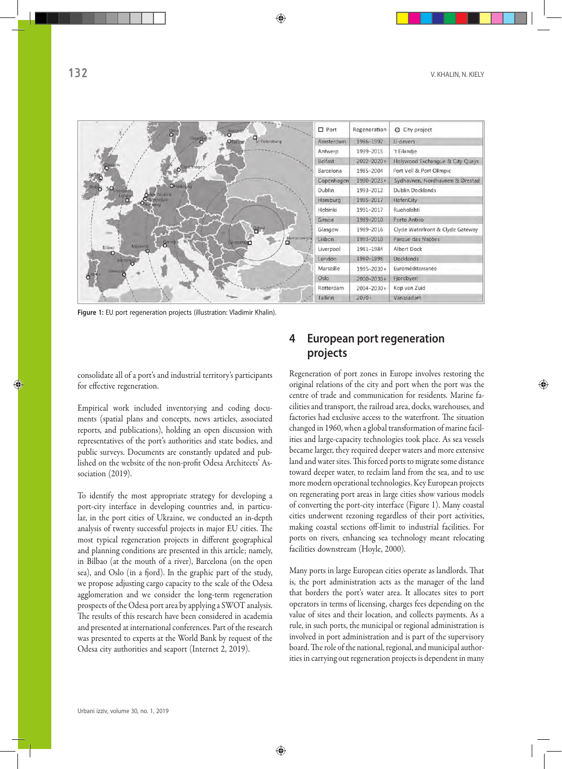| 0 <sup>510</sup><br>Helsink                           | <b>D</b> Port    | Regeneration | O City project                   |
|-------------------------------------------------------|------------------|--------------|----------------------------------|
| stgeknolm<br>St Petersburg<br>Otallinn                | Amsterdam        | 1986-1992    | <b>U-oevers</b>                  |
|                                                       | Antwerp          | 1999-2015    | 't Eilandje                      |
|                                                       | Belfast          | 2002-2020+   | Holywood Exchangue & City Quays  |
| openhage<br>O                                         | Barcelona        | 1985-2004    | Port Vell & Port Olimpic         |
|                                                       | Copenhagen       | 1990-2023+   | Sydhavnen, Nordhavnen & Ørestad  |
| OHamhurg<br><b>O</b> Amsterdam                        | <b>Dublin</b>    | 1993-2012    | Dublin Docklands                 |
| London<br>O<br>O Rotterdam<br><b>WEI D</b>            | Hamburg          | 1995-2017    | HafenCity                        |
|                                                       | Helsinki         | 1991-2017    | Ruoholahti                       |
|                                                       | Genoa            | 1989-2010    | Porto Antico                     |
| $O_{\text{diss}}$                                     | Glasgow          | 1989-2016    | Clyde Waterfront & Clyde Gateway |
| Novorossiysk<br>$-8$ eno»<br><b>L'onstantara</b><br>α | Lisbon           | 1993-2010    | Parque das Nações                |
| Marseille                                             | Liverpool        | 1981-1984    | Albert Dock                      |
|                                                       | London           | 1980-1998    | <b>Docklands</b>                 |
|                                                       | <b>Marseille</b> | 1995-2030+   | Euroméditerranée                 |
|                                                       | Oslo             | 2000-2030+   | Fjordbyen                        |
|                                                       | Rotterdam        | 2004-2030+   | Kop van Zuid                     |
|                                                       | Tallinn          | $2030+$      | Vanasadam                        |

**Figure 1:** EU port regeneration projects (illustration: Vladimir Khalin).

consolidate all of a port's and industrial territory's participants for effective regeneration.

Empirical work included inventorying and coding documents (spatial plans and concepts, news articles, associated reports, and publications), holding an open discussion with representatives of the port's authorities and state bodies, and public surveys. Documents are constantly updated and published on the website of the non-profit Odesa Architects' Association (2019).

To identify the most appropriate strategy for developing a port-city interface in developing countries and, in particular, in the port cities of Ukraine, we conducted an in-depth analysis of twenty successful projects in major EU cities. The most typical regeneration projects in different geographical and planning conditions are presented in this article; namely, in Bilbao (at the mouth of a river), Barcelona (on the open sea), and Oslo (in a fjord). In the graphic part of the study, we propose adjusting cargo capacity to the scale of the Odesa agglomeration and we consider the long-term regeneration prospects of the Odesa port area by applying a SWOT analysis. The results of this research have been considered in academia and presented at international conferences. Part of the research was presented to experts at the World Bank by request of the Odesa city authorities and seaport (Internet 2, 2019).

# **4 European port regeneration projects**

Regeneration of port zones in Europe involves restoring the original relations of the city and port when the port was the centre of trade and communication for residents. Marine facilities and transport, the railroad area, docks, warehouses, and factories had exclusive access to the waterfront. The situation changed in 1960, when a global transformation of marine facilities and large-capacity technologies took place. As sea vessels became larger, they required deeper waters and more extensive land and water sites. This forced ports to migrate some distance toward deeper water, to reclaim land from the sea, and to use more modern operational technologies. Key European projects on regenerating port areas in large cities show various models of converting the port-city interface (Figure 1). Many coastal cities underwent rezoning regardless of their port activities, making coastal sections off-limit to industrial facilities. For ports on rivers, enhancing sea technology meant relocating facilities downstream (Hoyle, 2000).

Many ports in large European cities operate as landlords. That is, the port administration acts as the manager of the land that borders the port's water area. It allocates sites to port operators in terms of licensing, charges fees depending on the value of sites and their location, and collects payments. As a rule, in such ports, the municipal or regional administration is involved in port administration and is part of the supervisory board. The role of the national, regional, and municipal authorities in carrying out regeneration projects is dependent in many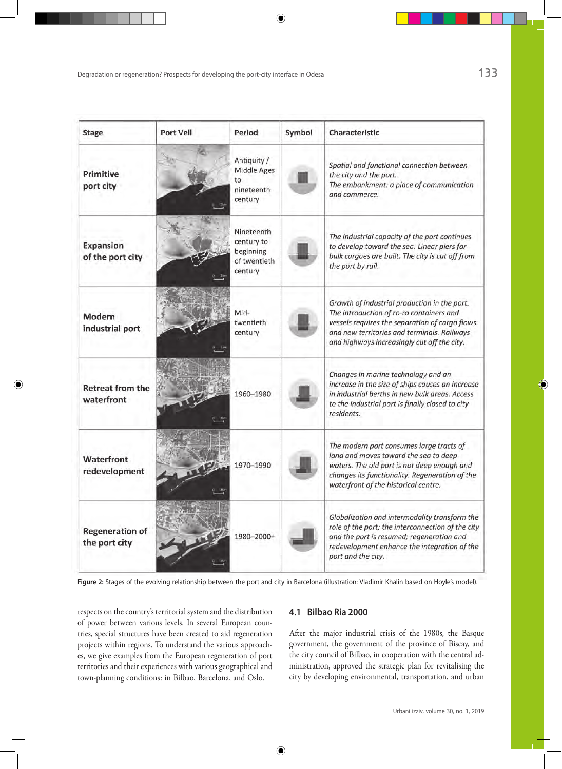| <b>Stage</b>                            | Port Vell | Period                                                           | Symbol | Characteristic                                                                                                                                                                                                                           |
|-----------------------------------------|-----------|------------------------------------------------------------------|--------|------------------------------------------------------------------------------------------------------------------------------------------------------------------------------------------------------------------------------------------|
| Primitive<br>port city                  |           | Antiquity /<br>Middle Ages<br>to<br>nineteenth<br>century        |        | Spatial and functional connection between<br>the city and the port.<br>The embankment: a place of communication<br>and commerce.                                                                                                         |
| <b>Expansion</b><br>of the port city    |           | Nineteenth<br>century to<br>beginning<br>of twentieth<br>century |        | The industrial capacity of the port continues<br>to develop toward the sea. Linear piers for<br>bulk cargoes are built. The city is cut off from<br>the port by rail.                                                                    |
| Modern<br>industrial port               |           | Mid-<br>twentieth<br>century                                     |        | Growth of industrial production in the port.<br>The introduction of ro-ro containers and<br>vessels requires the separation of cargo flows<br>and new territories and terminals. Railways<br>and highways increasingly cut off the city. |
| <b>Retreat from the</b><br>waterfront   |           | 1960-1980                                                        |        | Changes in marine technology and an<br>increase in the size of ships causes an increase<br>in industrial berths in new bulk areas. Access<br>to the industrial port is finally closed to city<br>residents.                              |
| Waterfront<br>redevelopment             |           | 1970-1990                                                        |        | The modern port consumes large tracts of<br>land and moves toward the sea to deep<br>waters. The old port is not deep enough and<br>changes its functionality. Regeneration of the<br>waterfront of the historical centre.               |
| <b>Regeneration of</b><br>the port city |           | 1980-2000+                                                       |        | Globalization and intermodality transform the<br>role of the port; the interconnection of the city<br>and the port is resumed; regeneration and<br>redevelopment enhance the integration of the<br>port and the city.                    |

**Figure 2:** Stages of the evolving relationship between the port and city in Barcelona (illustration: Vladimir Khalin based on Hoyle's model).

respects on the country's territorial system and the distribution of power between various levels. In several European countries, special structures have been created to aid regeneration projects within regions. To understand the various approaches, we give examples from the European regeneration of port territories and their experiences with various geographical and town-planning conditions: in Bilbao, Barcelona, and Oslo.

#### **4.1 Bilbao Ria 2000**

After the major industrial crisis of the 1980s, the Basque government, the government of the province of Biscay, and the city council of Bilbao, in cooperation with the central administration, approved the strategic plan for revitalising the city by developing environmental, transportation, and urban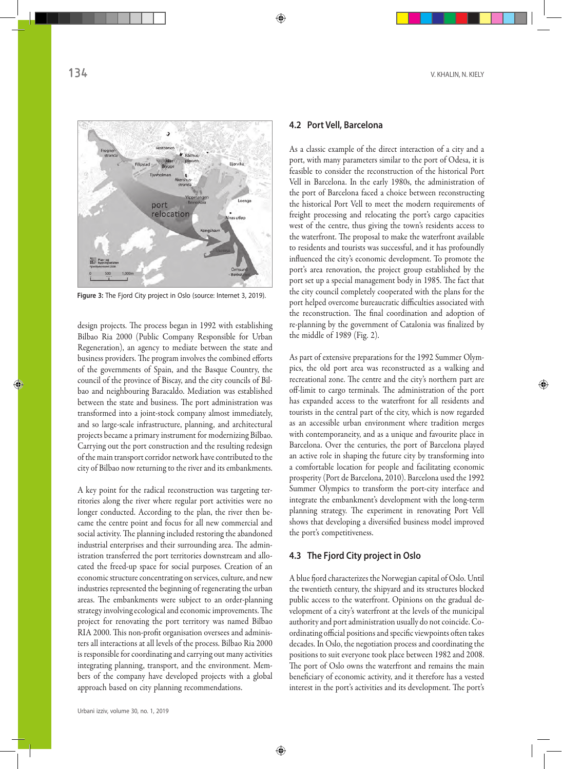

**Figure 3:** The Fjord City project in Oslo (source: Internet 3, 2019).

design projects. The process began in 1992 with establishing Bilbao Ria 2000 (Public Company Responsible for Urban Regeneration), an agency to mediate between the state and business providers. The program involves the combined efforts of the governments of Spain, and the Basque Country, the council of the province of Biscay, and the city councils of Bilbao and neighbouring Baracaldo. Mediation was established between the state and business. The port administration was transformed into a joint-stock company almost immediately, and so large-scale infrastructure, planning, and architectural projects became a primary instrument for modernizing Bilbao. Carrying out the port construction and the resulting redesign of the main transport corridor network have contributed to the city of Bilbao now returning to the river and its embankments.

A key point for the radical reconstruction was targeting territories along the river where regular port activities were no longer conducted. According to the plan, the river then became the centre point and focus for all new commercial and social activity. The planning included restoring the abandoned industrial enterprises and their surrounding area. The administration transferred the port territories downstream and allocated the freed-up space for social purposes. Creation of an economic structure concentrating on services, culture, and new industries represented the beginning of regenerating the urban areas. The embankments were subject to an order-planning strategy involving ecological and economic improvements. The project for renovating the port territory was named Bilbao RIA 2000. This non-profit organisation oversees and administers all interactions at all levels of the process. Bilbao Ria 2000 is responsible for coordinating and carrying out many activities integrating planning, transport, and the environment. Members of the company have developed projects with a global approach based on city planning recommendations.

#### **4.2 Port Vell, Barcelona**

As a classic example of the direct interaction of a city and a port, with many parameters similar to the port of Odesa, it is feasible to consider the reconstruction of the historical Port Vell in Barcelona. In the early 1980s, the administration of the port of Barcelona faced a choice between reconstructing the historical Port Vell to meet the modern requirements of freight processing and relocating the port's cargo capacities west of the centre, thus giving the town's residents access to the waterfront. The proposal to make the waterfront available to residents and tourists was successful, and it has profoundly influenced the city's economic development. To promote the port's area renovation, the project group established by the port set up a special management body in 1985. The fact that the city council completely cooperated with the plans for the port helped overcome bureaucratic difficulties associated with the reconstruction. The final coordination and adoption of re-planning by the government of Catalonia was finalized by the middle of 1989 (Fig. 2).

As part of extensive preparations for the 1992 Summer Olympics, the old port area was reconstructed as a walking and recreational zone. The centre and the city's northern part are off-limit to cargo terminals. The administration of the port has expanded access to the waterfront for all residents and tourists in the central part of the city, which is now regarded as an accessible urban environment where tradition merges with contemporaneity, and as a unique and favourite place in Barcelona. Over the centuries, the port of Barcelona played an active role in shaping the future city by transforming into a comfortable location for people and facilitating economic prosperity (Port de Barcelona, 2010). Barcelona used the 1992 Summer Olympics to transform the port-city interface and integrate the embankment's development with the long-term planning strategy. The experiment in renovating Port Vell shows that developing a diversified business model improved the port's competitiveness.

#### **4.3 The Fjord City project in Oslo**

A blue fjord characterizes the Norwegian capital of Oslo. Until the twentieth century, the shipyard and its structures blocked public access to the waterfront. Opinions on the gradual development of a city's waterfront at the levels of the municipal authority and port administration usually do not coincide. Coordinating official positions and specific viewpoints often takes decades. In Oslo, the negotiation process and coordinating the positions to suit everyone took place between 1982 and 2008. The port of Oslo owns the waterfront and remains the main beneficiary of economic activity, and it therefore has a vested interest in the port's activities and its development. The port's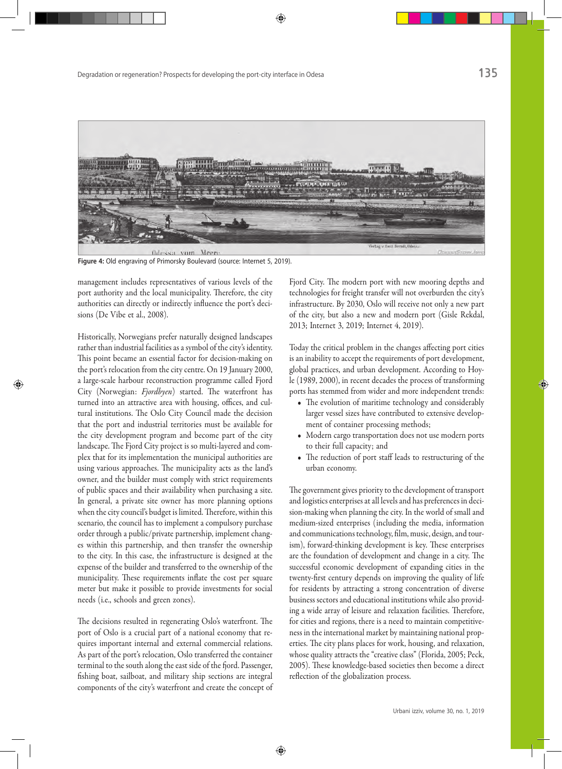

**Figure 4:** Old engraving of Primorsky Boulevard (source: Internet 5, 2019).

management includes representatives of various levels of the port authority and the local municipality. Therefore, the city authorities can directly or indirectly influence the port's decisions (De Vibe et al., 2008).

Historically, Norwegians prefer naturally designed landscapes rather than industrial facilities as a symbol of the city's identity. This point became an essential factor for decision-making on the port's relocation from the city centre. On 19 January 2000, a large-scale harbour reconstruction programme called Fjord City (Norwegian: *Fjordbyen*) started. The waterfront has turned into an attractive area with housing, offices, and cultural institutions. The Oslo City Council made the decision that the port and industrial territories must be available for the city development program and become part of the city landscape. The Fjord City project is so multi-layered and complex that for its implementation the municipal authorities are using various approaches. The municipality acts as the land's owner, and the builder must comply with strict requirements of public spaces and their availability when purchasing a site. In general, a private site owner has more planning options when the city council's budget is limited. Therefore, within this scenario, the council has to implement a compulsory purchase order through a public/private partnership, implement changes within this partnership, and then transfer the ownership to the city. In this case, the infrastructure is designed at the expense of the builder and transferred to the ownership of the municipality. These requirements inflate the cost per square meter but make it possible to provide investments for social needs (i.e., schools and green zones).

The decisions resulted in regenerating Oslo's waterfront. The port of Oslo is a crucial part of a national economy that requires important internal and external commercial relations. As part of the port's relocation, Oslo transferred the container terminal to the south along the east side of the fjord. Passenger, fishing boat, sailboat, and military ship sections are integral components of the city's waterfront and create the concept of Fjord City. The modern port with new mooring depths and technologies for freight transfer will not overburden the city's infrastructure. By 2030, Oslo will receive not only a new part of the city, but also a new and modern port (Gisle Rekdal, 2013; Internet 3, 2019; Internet 4, 2019).

Today the critical problem in the changes affecting port cities is an inability to accept the requirements of port development, global practices, and urban development. According to Hoyle (1989, 2000), in recent decades the process of transforming ports has stemmed from wider and more independent trends:

- The evolution of maritime technology and considerably larger vessel sizes have contributed to extensive development of container processing methods;
- Modern cargo transportation does not use modern ports to their full capacity; and
- The reduction of port staff leads to restructuring of the urban economy.

The government gives priority to the development of transport and logistics enterprises at all levels and has preferences in decision-making when planning the city. In the world of small and medium-sized enterprises (including the media, information and communications technology, film, music, design, and tourism), forward-thinking development is key. These enterprises are the foundation of development and change in a city. The successful economic development of expanding cities in the twenty-first century depends on improving the quality of life for residents by attracting a strong concentration of diverse business sectors and educational institutions while also providing a wide array of leisure and relaxation facilities. Therefore, for cities and regions, there is a need to maintain competitiveness in the international market by maintaining national properties. The city plans places for work, housing, and relaxation, whose quality attracts the "creative class" (Florida, 2005; Peck, 2005). These knowledge-based societies then become a direct reflection of the globalization process.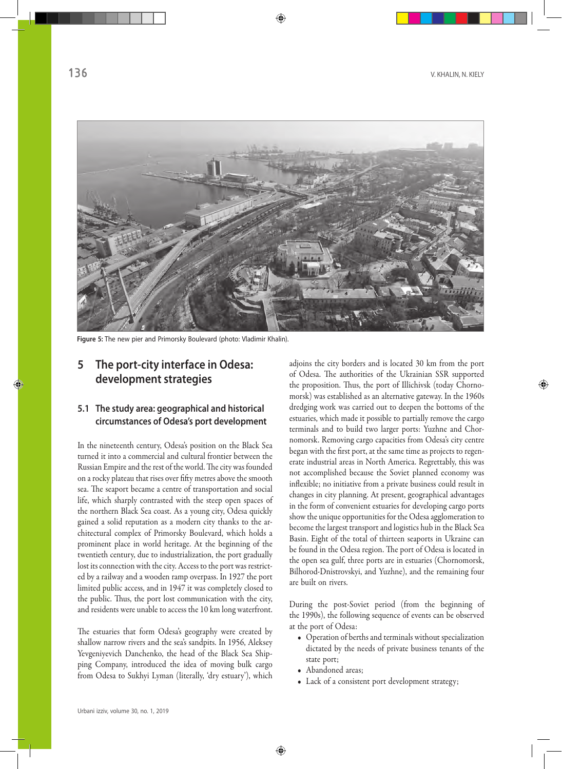

**Figure 5:** The new pier and Primorsky Boulevard (photo: Vladimir Khalin).

## **5 The port-city interface in Odesa: development strategies**

## **5.1 The study area: geographical and historical circumstances of Odesa's port development**

In the nineteenth century, Odesa's position on the Black Sea turned it into a commercial and cultural frontier between the Russian Empire and the rest of the world. The city was founded on a rocky plateau that rises over fifty metres above the smooth sea. The seaport became a centre of transportation and social life, which sharply contrasted with the steep open spaces of the northern Black Sea coast. As a young city, Odesa quickly gained a solid reputation as a modern city thanks to the architectural complex of Primorsky Boulevard, which holds a prominent place in world heritage. At the beginning of the twentieth century, due to industrialization, the port gradually lost its connection with the city. Access to the port was restricted by a railway and a wooden ramp overpass. In 1927 the port limited public access, and in 1947 it was completely closed to the public. Thus, the port lost communication with the city, and residents were unable to access the 10 km long waterfront.

The estuaries that form Odesa's geography were created by shallow narrow rivers and the sea's sandpits. In 1956, Aleksey Yevgeniyevich Danchenko, the head of the Black Sea Shipping Company, introduced the idea of moving bulk cargo from Odesa to Sukhyi Lyman (literally, 'dry estuary'), which

adjoins the city borders and is located 30 km from the port of Odesa. The authorities of the Ukrainian SSR supported the proposition. Thus, the port of Illichivsk (today Chornomorsk) was established as an alternative gateway. In the 1960s dredging work was carried out to deepen the bottoms of the estuaries, which made it possible to partially remove the cargo terminals and to build two larger ports: Yuzhne and Chornomorsk. Removing cargo capacities from Odesa's city centre began with the first port, at the same time as projects to regenerate industrial areas in North America. Regrettably, this was not accomplished because the Soviet planned economy was inflexible; no initiative from a private business could result in changes in city planning. At present, geographical advantages in the form of convenient estuaries for developing cargo ports show the unique opportunities for the Odesa agglomeration to become the largest transport and logistics hub in the Black Sea Basin. Eight of the total of thirteen seaports in Ukraine can be found in the Odesa region. The port of Odesa is located in the open sea gulf, three ports are in estuaries (Chornomorsk, Bilhorod-Dnistrovskyi, and Yuzhne), and the remaining four are built on rivers.

During the post-Soviet period (from the beginning of the 1990s), the following sequence of events can be observed at the port of Odesa:

- Operation of berths and terminals without specialization dictated by the needs of private business tenants of the state port;
- Abandoned areas;
- Lack of a consistent port development strategy;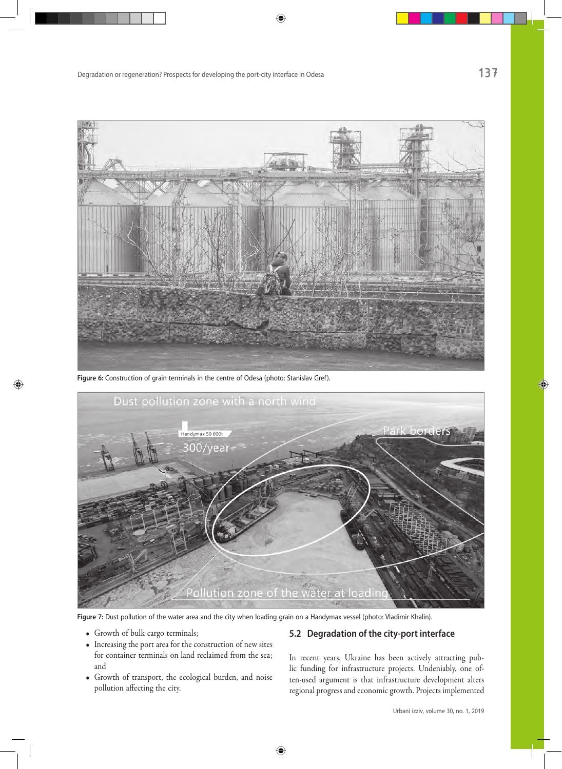

**Figure 6:** Construction of grain terminals in the centre of Odesa (photo: Stanislav Gref).



**Figure 7:** Dust pollution of the water area and the city when loading grain on a Handymax vessel (photo: Vladimir Khalin).

- Growth of bulk cargo terminals;
- Increasing the port area for the construction of new sites for container terminals on land reclaimed from the sea; and
- Growth of transport, the ecological burden, and noise pollution affecting the city.

### **5.2 Degradation of the city-port interface**

In recent years, Ukraine has been actively attracting public funding for infrastructure projects. Undeniably, one often-used argument is that infrastructure development alters regional progress and economic growth. Projects implemented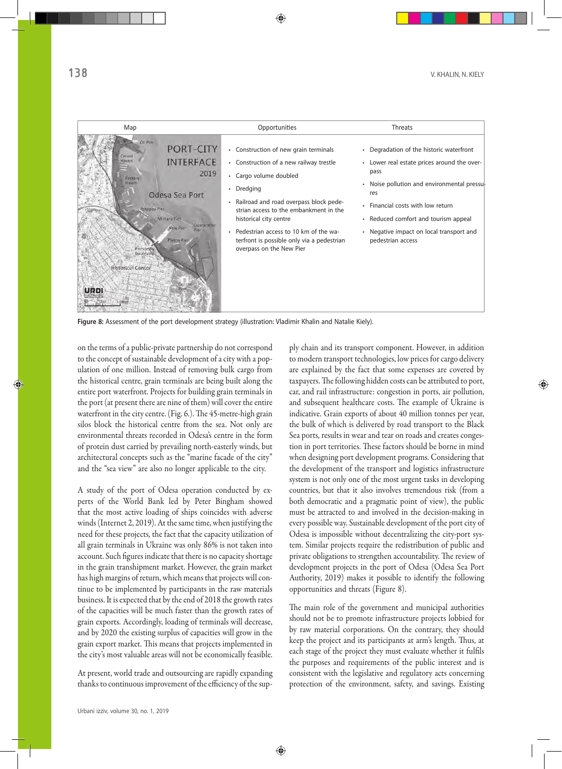

**Figure 8:** Assessment of the port development strategy (illustration: Vladimir Khalin and Natalie Kiely).

on the terms of a public-private partnership do not correspond to the concept of sustainable development of a city with a population of one million. Instead of removing bulk cargo from the historical centre, grain terminals are being built along the entire port waterfront. Projects for building grain terminals in the port (at present there are nine of them) will cover the entire waterfront in the city centre. (Fig. 6.). The 45-metre-high grain silos block the historical centre from the sea. Not only are environmental threats recorded in Odesa's centre in the form of protein dust carried by prevailing north-easterly winds, but architectural concepts such as the "marine facade of the city" and the "sea view" are also no longer applicable to the city.

A study of the port of Odesa operation conducted by experts of the World Bank led by Peter Bingham showed that the most active loading of ships coincides with adverse winds (Internet 2, 2019). At the same time, when justifying the need for these projects, the fact that the capacity utilization of all grain terminals in Ukraine was only 86% is not taken into account. Such figures indicate that there is no capacity shortage in the grain transhipment market. However, the grain market has high margins of return, which means that projects will continue to be implemented by participants in the raw materials business. It is expected that by the end of 2018 the growth rates of the capacities will be much faster than the growth rates of grain exports. Accordingly, loading of terminals will decrease, and by 2020 the existing surplus of capacities will grow in the grain export market. This means that projects implemented in the city's most valuable areas will not be economically feasible.

At present, world trade and outsourcing are rapidly expanding thanks to continuous improvement of the efficiency of the supply chain and its transport component. However, in addition to modern transport technologies, low prices for cargo delivery are explained by the fact that some expenses are covered by taxpayers. The following hidden costs can be attributed to port, car, and rail infrastructure: congestion in ports, air pollution, and subsequent healthcare costs. The example of Ukraine is indicative. Grain exports of about 40 million tonnes per year, the bulk of which is delivered by road transport to the Black Sea ports, results in wear and tear on roads and creates congestion in port territories. These factors should be borne in mind when designing port development programs. Considering that the development of the transport and logistics infrastructure system is not only one of the most urgent tasks in developing countries, but that it also involves tremendous risk (from a both democratic and a pragmatic point of view), the public must be attracted to and involved in the decision-making in every possible way. Sustainable development of the port city of Odesa is impossible without decentralizing the city-port system. Similar projects require the redistribution of public and private obligations to strengthen accountability. The review of development projects in the port of Odesa (Odesa Sea Port Authority, 2019) makes it possible to identify the following opportunities and threats (Figure 8).

The main role of the government and municipal authorities should not be to promote infrastructure projects lobbied for by raw material corporations. On the contrary, they should keep the project and its participants at arm's length. Thus, at each stage of the project they must evaluate whether it fulfils the purposes and requirements of the public interest and is consistent with the legislative and regulatory acts concerning protection of the environment, safety, and savings. Existing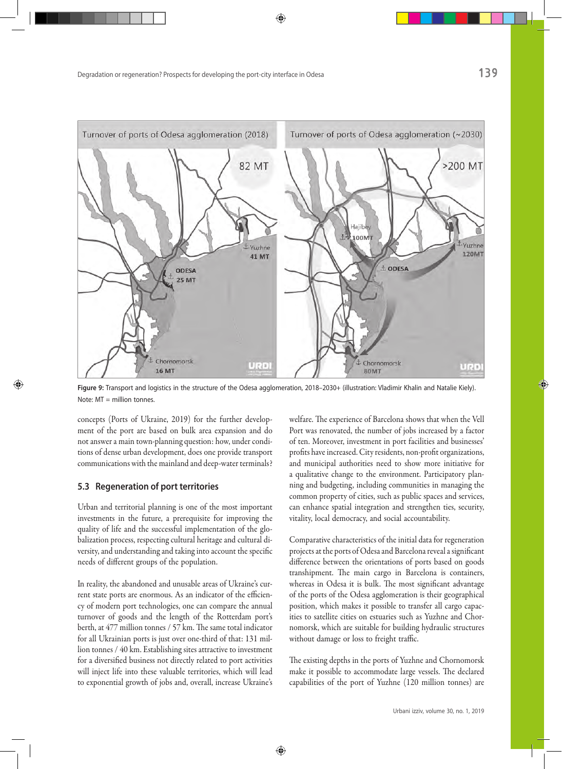

**Figure 9:** Transport and logistics in the structure of the Odesa agglomeration, 2018–2030+ (illustration: Vladimir Khalin and Natalie Kiely). Note: MT = million tonnes.

concepts (Ports of Ukraine, 2019) for the further development of the port are based on bulk area expansion and do not answer a main town-planning question: how, under conditions of dense urban development, does one provide transport communications with the mainland and deep-water terminals?

#### **5.3 Regeneration of port territories**

Urban and territorial planning is one of the most important investments in the future, a prerequisite for improving the quality of life and the successful implementation of the globalization process, respecting cultural heritage and cultural diversity, and understanding and taking into account the specific needs of different groups of the population.

In reality, the abandoned and unusable areas of Ukraine's current state ports are enormous. As an indicator of the efficiency of modern port technologies, one can compare the annual turnover of goods and the length of the Rotterdam port's berth, at 477 million tonnes / 57 km. The same total indicator for all Ukrainian ports is just over one-third of that: 131 million tonnes / 40 km. Establishing sites attractive to investment for a diversified business not directly related to port activities will inject life into these valuable territories, which will lead to exponential growth of jobs and, overall, increase Ukraine's welfare. The experience of Barcelona shows that when the Vell Port was renovated, the number of jobs increased by a factor of ten. Moreover, investment in port facilities and businesses' profits have increased. City residents, non-profit organizations, and municipal authorities need to show more initiative for a qualitative change to the environment. Participatory planning and budgeting, including communities in managing the common property of cities, such as public spaces and services, can enhance spatial integration and strengthen ties, security, vitality, local democracy, and social accountability.

Comparative characteristics of the initial data for regeneration projects at the ports of Odesa and Barcelona reveal a significant difference between the orientations of ports based on goods transhipment. The main cargo in Barcelona is containers, whereas in Odesa it is bulk. The most significant advantage of the ports of the Odesa agglomeration is their geographical position, which makes it possible to transfer all cargo capacities to satellite cities on estuaries such as Yuzhne and Chornomorsk, which are suitable for building hydraulic structures without damage or loss to freight traffic.

The existing depths in the ports of Yuzhne and Chornomorsk make it possible to accommodate large vessels. The declared capabilities of the port of Yuzhne (120 million tonnes) are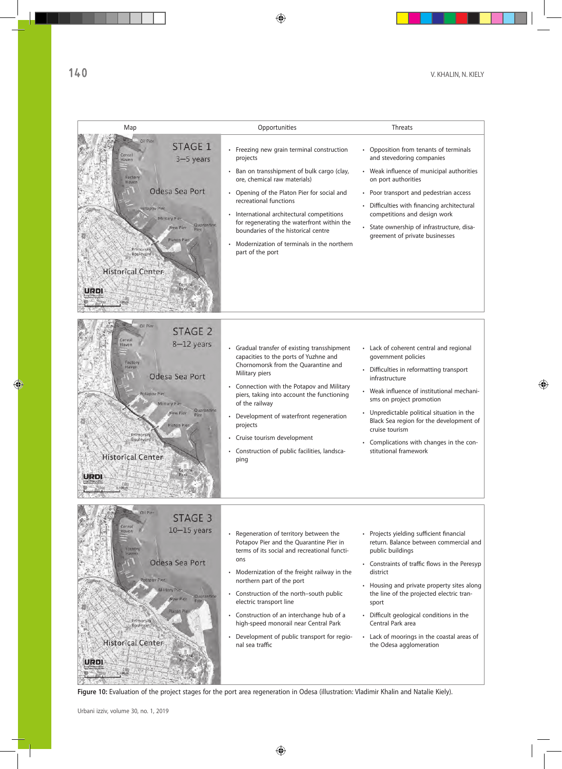

Figure 10: Evaluation of the project stages for the port area regeneration in Odesa (illustration: Vladimir Khalin and Natalie Kiely).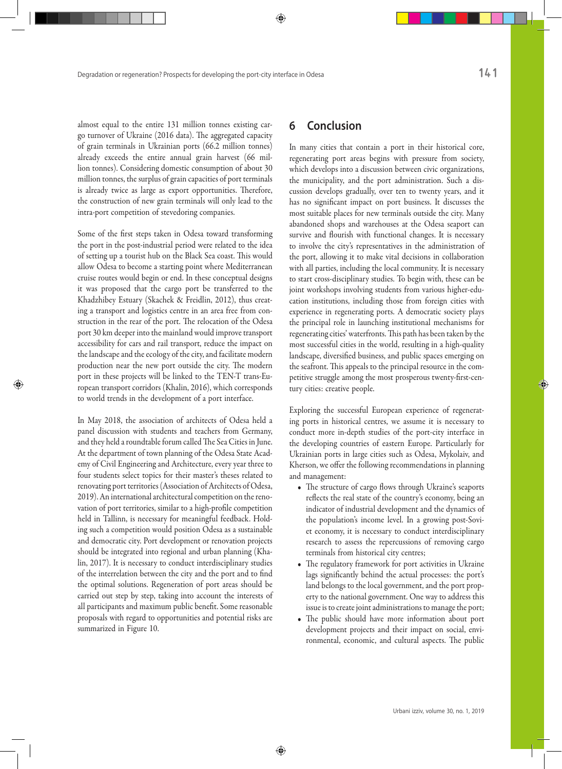almost equal to the entire 131 million tonnes existing cargo turnover of Ukraine (2016 data). The aggregated capacity of grain terminals in Ukrainian ports (66.2 million tonnes) already exceeds the entire annual grain harvest (66 million tonnes). Considering domestic consumption of about 30 million tonnes, the surplus of grain capacities of port terminals is already twice as large as export opportunities. Therefore, the construction of new grain terminals will only lead to the intra-port competition of stevedoring companies.

Some of the first steps taken in Odesa toward transforming the port in the post-industrial period were related to the idea of setting up a tourist hub on the Black Sea coast. This would allow Odesa to become a starting point where Mediterranean cruise routes would begin or end. In these conceptual designs it was proposed that the cargo port be transferred to the Khadzhibey Estuary (Skachek & Freidlin, 2012), thus creating a transport and logistics centre in an area free from construction in the rear of the port. The relocation of the Odesa port 30 km deeper into the mainland would improve transport accessibility for cars and rail transport, reduce the impact on the landscape and the ecology of the city, and facilitate modern production near the new port outside the city. The modern port in these projects will be linked to the TEN-T trans-European transport corridors (Khalin, 2016), which corresponds to world trends in the development of a port interface.

In May 2018, the association of architects of Odesa held a panel discussion with students and teachers from Germany, and they held a roundtable forum called The Sea Cities in June. At the department of town planning of the Odesa State Academy of Civil Engineering and Architecture, every year three to four students select topics for their master's theses related to renovating port territories (Association of Architects of Odesa, 2019). An international architectural competition on the renovation of port territories, similar to a high-profile competition held in Tallinn, is necessary for meaningful feedback. Holding such a competition would position Odesa as a sustainable and democratic city. Port development or renovation projects should be integrated into regional and urban planning (Khalin, 2017). It is necessary to conduct interdisciplinary studies of the interrelation between the city and the port and to find the optimal solutions. Regeneration of port areas should be carried out step by step, taking into account the interests of all participants and maximum public benefit. Some reasonable proposals with regard to opportunities and potential risks are summarized in Figure 10.

# **6 Conclusion**

In many cities that contain a port in their historical core, regenerating port areas begins with pressure from society, which develops into a discussion between civic organizations, the municipality, and the port administration. Such a discussion develops gradually, over ten to twenty years, and it has no significant impact on port business. It discusses the most suitable places for new terminals outside the city. Many abandoned shops and warehouses at the Odesa seaport can survive and flourish with functional changes. It is necessary to involve the city's representatives in the administration of the port, allowing it to make vital decisions in collaboration with all parties, including the local community. It is necessary to start cross-disciplinary studies. To begin with, these can be joint workshops involving students from various higher-education institutions, including those from foreign cities with experience in regenerating ports. A democratic society plays the principal role in launching institutional mechanisms for regenerating cities' waterfronts. This path has been taken by the most successful cities in the world, resulting in a high-quality landscape, diversified business, and public spaces emerging on the seafront. This appeals to the principal resource in the competitive struggle among the most prosperous twenty-first-century cities: creative people.

Exploring the successful European experience of regenerating ports in historical centres, we assume it is necessary to conduct more in-depth studies of the port-city interface in the developing countries of eastern Europe. Particularly for Ukrainian ports in large cities such as Odesa, Mykolaiv, and Kherson, we offer the following recommendations in planning and management:

- The structure of cargo flows through Ukraine's seaports reflects the real state of the country's economy, being an indicator of industrial development and the dynamics of the population's income level. In a growing post-Soviet economy, it is necessary to conduct interdisciplinary research to assess the repercussions of removing cargo terminals from historical city centres;
- The regulatory framework for port activities in Ukraine lags significantly behind the actual processes: the port's land belongs to the local government, and the port property to the national government. One way to address this issue is to create joint administrations to manage the port;
- The public should have more information about port development projects and their impact on social, environmental, economic, and cultural aspects. The public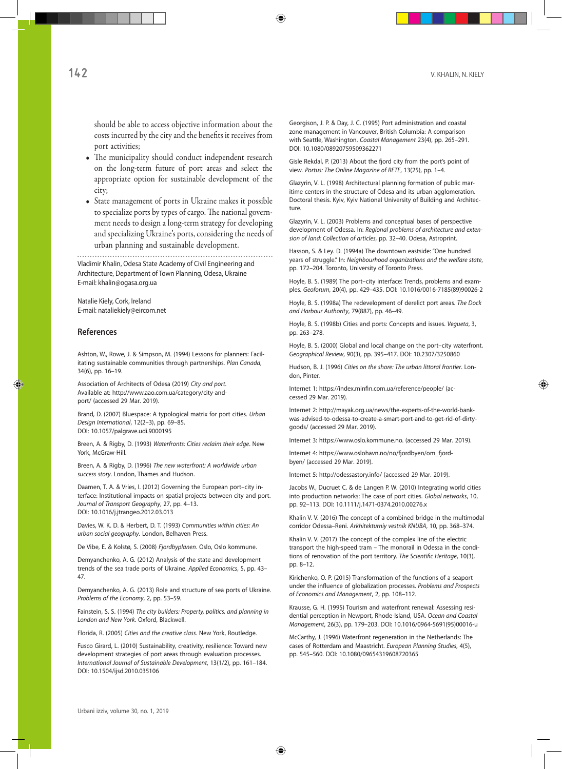should be able to access objective information about the costs incurred by the city and the benefits it receives from port activities;

- The municipality should conduct independent research on the long-term future of port areas and select the appropriate option for sustainable development of the city;
- State management of ports in Ukraine makes it possible to specialize ports by types of cargo. The national government needs to design a long-term strategy for developing and specializing Ukraine's ports, considering the needs of urban planning and sustainable development.

Vladimir Khalin, Odesa State Academy of Civil Engineering and Architecture, Department of Town Planning, Odesa, Ukraine E-mail: khalin@ogasa.org.ua

Natalie Kiely, Cork, Ireland E-mail: nataliekiely@eircom.net

#### **References**

Ashton, W., Rowe, J. & Simpson, M. (1994) Lessons for planners: Facilitating sustainable communities through partnerships. *Plan Canada*, 34(6), pp. 16–19.

Association of Architects of Odesa (2019) *City and port*. Available at: http://www.aao.com.ua/category/city-andport/ (accessed 29 Mar. 2019).

Brand, D. (2007) Bluespace: A typological matrix for port cities*. Urban Design International*, 12(2–3), pp. 69–85. DOI: 10.1057/palgrave.udi.9000195

Breen, A. & Rigby, D. (1993) *Waterfronts: Cities reclaim their edge*. New York, McGraw-Hill.

Breen, A. & Rigby, D. (1996) *The new waterfront: A worldwide urban success story*. London, Thames and Hudson.

Daamen, T. A. & Vries, I. (2012) Governing the European port–city interface: Institutional impacts on spatial projects between city and port. *Journal of Transport Geography*, 27, pp. 4–13. DOI: 10.1016/j.jtrangeo.2012.03.013

Davies, W. K. D. & Herbert, D. T. (1993) *Communities within cities: An urban social geography*. London, Belhaven Press.

De Vibe, E. & Kolstø, S. (2008) *Fjordbyplanen*. Oslo, Oslo kommune.

Demyanchenko, A. G. (2012) Analysis of the state and development trends of the sea trade ports of Ukraine. *Applied Economics*, 5, pp. 43– 47.

Demyanchenko, A. G. (2013) Role and structure of sea ports of Ukraine. *Problems of the Economy*, 2, pp. 53–59.

Fainstein, S. S. (1994) *The city builders: Property, politics, and planning in London and New York*. Oxford, Blackwell.

Florida, R. (2005) *Cities and the creative class*. New York, Routledge.

Fusco Girard, L. (2010) Sustainability, creativity, resilience: Toward new development strategies of port areas through evaluation processes. *International Journal of Sustainable Development*, 13(1/2), pp. 161–184. DOI: 10.1504/ijsd.2010.035106

Georgison, J. P. & Day, J. C. (1995) Port administration and coastal zone management in Vancouver, British Columbia: A comparison with Seattle, Washington. *Coastal Management* 23(4), pp. 265–291. DOI: 10.1080/08920759509362271

Gisle Rekdal, P. (2013) About the fjord city from the port's point of view*. Portus: The Online Magazine of RETE*, 13(25), pp. 1–4.

Glazyrin, V. L. (1998) Architectural planning formation of public maritime centers in the structure of Odesa and its urban agglomeration. Doctoral thesis. Kyiv, Kyiv National University of Building and Architecture.

Glazyrin, V. L. (2003) Problems and conceptual bases of perspective development of Odessa. In: *Regional problems of architecture and extension of land: Collection of articles*, pp. 32–40. Odesa, Astroprint.

Hasson, S. & Ley. D. (1994a) The downtown eastside: "One hundred years of struggle." In: *Neighbourhood organizations and the welfare state*, pp. 172–204. Toronto, University of Toronto Press.

Hoyle, B. S. (1989) The port–city interface: Trends, problems and examples. *Geoforum*, 20(4), pp. 429–435. DOI: 10.1016/0016-7185(89)90026-2

Hoyle, B. S. (1998a) The redevelopment of derelict port areas. *The Dock and Harbour Authority*, 79(887), pp. 46–49.

Hoyle, B. S. (1998b) Cities and ports: Concepts and issues. *Vegueta*, 3, pp. 263–278.

Hoyle, B. S. (2000) Global and local change on the port–city waterfront. *Geographical Review*, 90(3), pp. 395–417. DOI: 10.2307/3250860

Hudson, B. J. (1996) *Cities on the shore: The urban littoral frontier*. London, Pinter.

Internet 1: https://index.minfin.com.ua/reference/people/ (accessed 29 Mar. 2019).

Internet 2: http://mayak.org.ua/news/the-experts-of-the-world-bankwas-advised-to-odessa-to-create-a-smart-port-and-to-get-rid-of-dirtygoods/ (accessed 29 Mar. 2019).

Internet 3: https://www.oslo.kommune.no. (accessed 29 Mar. 2019).

Internet 4: https://www.oslohavn.no/no/fjordbyen/om\_fjordbyen/ (accessed 29 Mar. 2019).

Internet 5: http://odessastory.info/ (accessed 29 Mar. 2019).

Jacobs W., Ducruet C. & de Langen P. W. (2010) Integrating world cities into production networks: The case of port cities. *Global networks*, 10, pp. 92–113. DOI: 10.1111/j.1471-0374.2010.00276.x

Khalin V. V. (2016) The concept of a combined bridge in the multimodal corridor Odessa–Reni. *Arkhitekturniy vestnik KNUBA*, 10, pp. 368–374.

Khalin V. V. (2017) The concept of the complex line of the electric transport the high-speed tram – The monorail in Odessa in the conditions of renovation of the port territory. *The Scientific Heritage*, 10(3), pp. 8–12.

Kirichenko, O. P. (2015) Transformation of the functions of a seaport under the influence of globalization processes. *Problems and Prospects of Economics and Management*, 2, pp. 108–112.

Krausse, G. H. (1995) Tourism and waterfront renewal: Assessing residential perception in Newport, Rhode-Island, USA. *Ocean and Coastal Management*, 26(3), pp. 179–203. DOI: 10.1016/0964-5691(95)00016-u

McCarthy, J. (1996) Waterfront regeneration in the Netherlands: The cases of Rotterdam and Maastricht. *European Planning Studies*, 4(5), pp. 545–560. DOI: 10.1080/09654319608720365